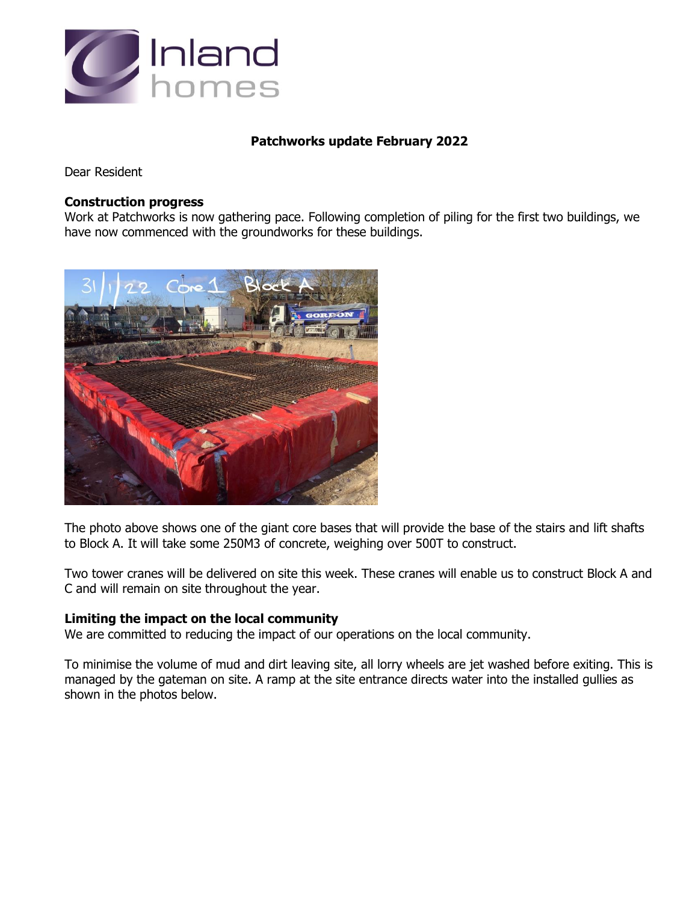

## **Patchworks update February 2022**

Dear Resident

#### **Construction progress**

Work at Patchworks is now gathering pace. Following completion of piling for the first two buildings, we have now commenced with the groundworks for these buildings.



The photo above shows one of the giant core bases that will provide the base of the stairs and lift shafts to Block A. It will take some 250M3 of concrete, weighing over 500T to construct.

Two tower cranes will be delivered on site this week. These cranes will enable us to construct Block A and C and will remain on site throughout the year.

### **Limiting the impact on the local community**

We are committed to reducing the impact of our operations on the local community.

To minimise the volume of mud and dirt leaving site, all lorry wheels are jet washed before exiting. This is managed by the gateman on site. A ramp at the site entrance directs water into the installed gullies as shown in the photos below.